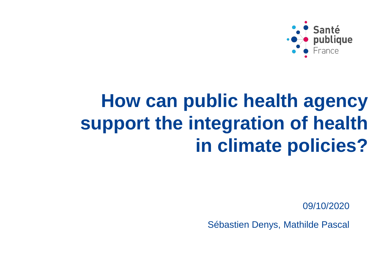

# **How can public health agency support the integration of health in climate policies?**

09/10/2020

Sébastien Denys, Mathilde Pascal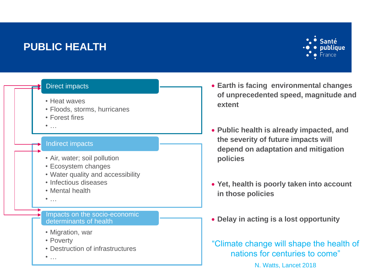#### **PUBLIC HEALTH**



#### Direct impacts

- Heat waves
- Floods, storms, hurricanes
- Forest fires
- $\bullet$  …

#### Indirect impacts

- Air, water; soil pollution
- Ecosystem changes
- Water quality and accessibility
- Infectious diseases
- Mental health
- $\bullet$  …

Impacts on the socio-economic determinants of health

- Migration, war
- Poverty
- Destruction of infrastructures
- $\bullet$  …
- **Earth is facing environmental changes of unprecedented speed, magnitude and extent**
- **Public health is already impacted, and the severity of future impacts will depend on adaptation and mitigation policies**
- **Yet, health is poorly taken into account in those policies**
- **Delay in acting is a lost opportunity**

"Climate change will shape the health of nations for centuries to come"

N. Watts, Lancet 2018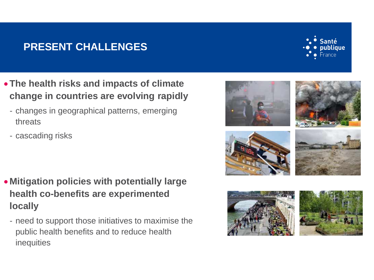### **PRESENT CHALLENGES**

- **The health risks and impacts of climate change in countries are evolving rapidly**
	- changes in geographical patterns, emerging threats
	- cascading risks

- **Mitigation policies with potentially large health co-benefits are experimented locally**
	- need to support those initiatives to maximise the public health benefits and to reduce health inequities









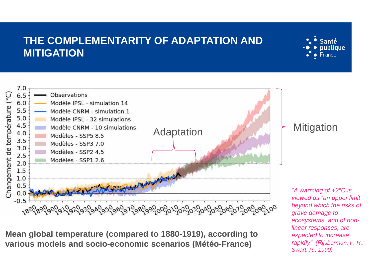#### **THE COMPLEMENTARITY OF ADAPTATION AND MITIGATION**





**Mean global temperature (compared to 1880-1919), according to various models and socio-economic scenarios (Météo-France)**

*"A warming of +2°C is viewed as "an upper limit beyond which the risks of grave damage to ecosystems, and of nonlinear responses, are expected to increase rapidly" (Rijsberman, F. R.; Swart, R., 1990)*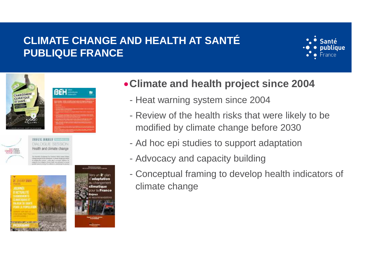### **CLIMATE CHANGE AND HEALTH AT SANTÉ PUBLIQUE FRANCE**







**DIALOGIES-SSON** Health and climate chan





**Climate and health project since 2004** 

- Heat warning system since 2004
- Review of the health risks that were likely to be modified by climate change before 2030
- Ad hoc epi studies to support adaptation
- Advocacy and capacity building
- Conceptual framing to develop health indicators of climate change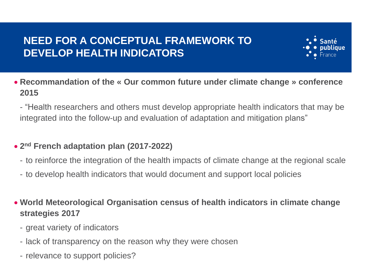# **NEED FOR A CONCEPTUAL FRAMEWORK TO DEVELOP HEALTH INDICATORS**



 **Recommandation of the « Our common future under climate change » conference 2015**

- "Health researchers and others must develop appropriate health indicators that may be integrated into the follow-up and evaluation of adaptation and mitigation plans"

#### **2 nd French adaptation plan (2017-2022)**

- to reinforce the integration of the health impacts of climate change at the regional scale
- to develop health indicators that would document and support local policies
- **World Meteorological Organisation census of health indicators in climate change strategies 2017**
	- great variety of indicators
	- lack of transparency on the reason why they were chosen
	- relevance to support policies?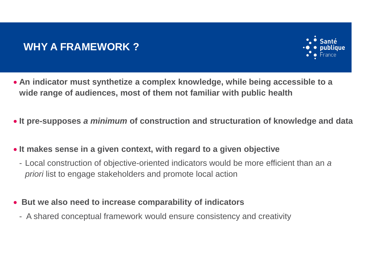#### **WHY A FRAMEWORK ?**



- **An indicator must synthetize a complex knowledge, while being accessible to a wide range of audiences, most of them not familiar with public health**
- **It pre-supposes** *a minimum* **of construction and structuration of knowledge and data**
- **It makes sense in a given context, with regard to a given objective** 
	- Local construction of objective-oriented indicators would be more efficient than an *a priori* list to engage stakeholders and promote local action
- **But we also need to increase comparability of indicators** 
	- A shared conceptual framework would ensure consistency and creativity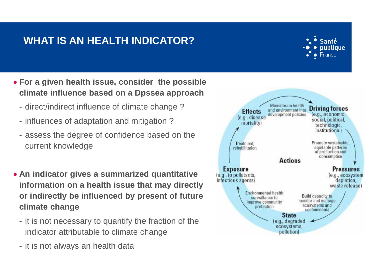## **WHAT IS AN HEALTH INDICATOR?**



- **For a given health issue, consider the possible climate influence based on a Dpssea approach**
	- direct/indirect influence of climate change ?
	- influences of adaptation and mitigation ?
	- assess the degree of confidence based on the current knowledge
- **An indicator gives a summarized quantitative information on a health issue that may directly or indirectly be influenced by present of future climate change**
	- it is not necessary to quantify the fraction of the indicator attributable to climate change
	- it is not always an health data

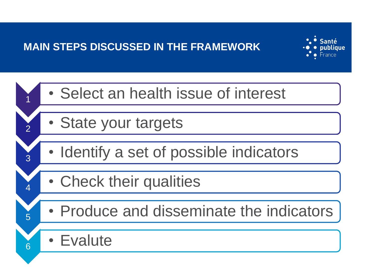## **MAIN STEPS DISCUSSED IN THE FRAMEWORK**



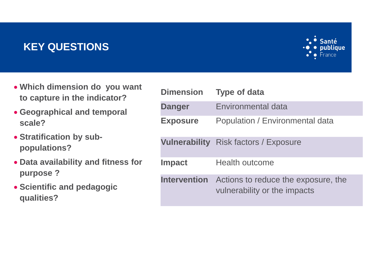### **KEY QUESTIONS**



- **Which dimension do you want to capture in the indicator?**
- **Geographical and temporal scale?**
- **Stratification by subpopulations?**
- **Data availability and fitness for purpose ?**
- **Scientific and pedagogic qualities?**

| <b>Dimension</b>     | <b>Type of data</b>                                                 |
|----------------------|---------------------------------------------------------------------|
| <b>Danger</b>        | <b>Environmental data</b>                                           |
| <b>Exposure</b>      | Population / Environmental data                                     |
| <b>Vulnerability</b> | Risk factors / Exposure                                             |
| <b>Impact</b>        | <b>Health outcome</b>                                               |
| <b>Intervention</b>  | Actions to reduce the exposure, the<br>vulnerability or the impacts |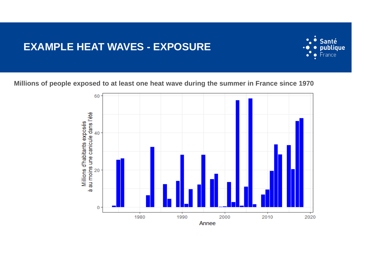#### **EXAMPLE HEAT WAVES - EXPOSURE**



**Millions of people exposed to at least one heat wave during the summer in France since 1970**

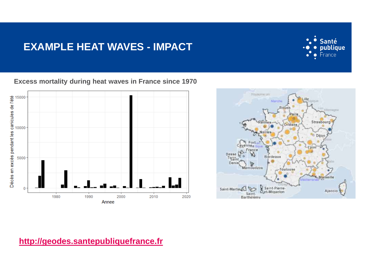#### **EXAMPLE HEAT WAVES - IMPACT**



#### **Excess mortality during heat waves in France since 1970**





#### **[http://geodes.santepubliquefrance.fr](http://geodes.santepubliquefrance.fr/)**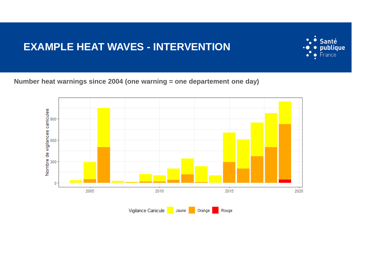#### **EXAMPLE HEAT WAVES - INTERVENTION**



**Number heat warnings since 2004 (one warning = one departement one day)**

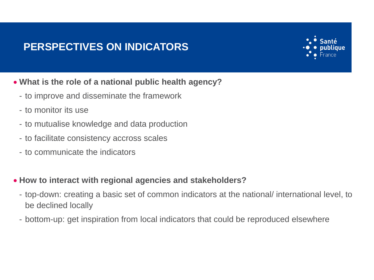## **PERSPECTIVES ON INDICATORS**



- **What is the role of a national public health agency?**
	- to improve and disseminate the framework
	- to monitor its use
	- to mutualise knowledge and data production
	- to facilitate consistency accross scales
	- to communicate the indicators
- **How to interact with regional agencies and stakeholders?**
	- top-down: creating a basic set of common indicators at the national/ international level, to be declined locally
	- bottom-up: get inspiration from local indicators that could be reproduced elsewhere